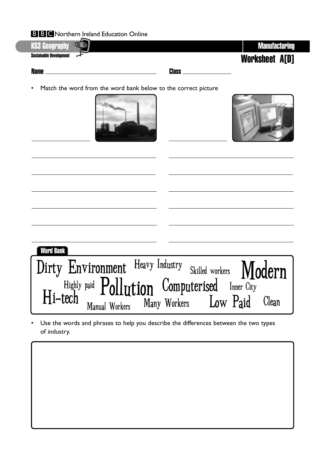

• Match the word from the word bank below to the correct picture





| <b>Word Bank</b>                                                                                    |  |
|-----------------------------------------------------------------------------------------------------|--|
| Dirty Environment Heavy Industry Skilled workers Modern                                             |  |
|                                                                                                     |  |
| Highly paid Pollution Computerised Inner City<br>Hi-tech Manual Workers Many Workers Low Paid Clean |  |

• Use the words and phrases to help you describe the differences between the two types of industry.

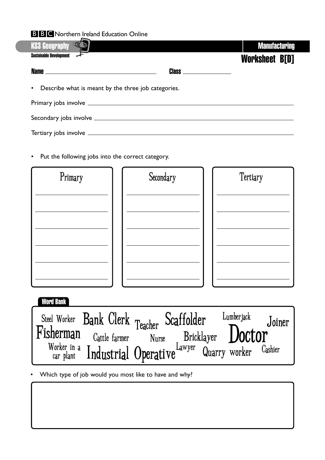| <b>KS3 Geography</b>                                  |                                  | <b>Manufacturing</b> |  |  |
|-------------------------------------------------------|----------------------------------|----------------------|--|--|
| <b>Sustainable Development</b>                        |                                  | Worksheet B[D]       |  |  |
|                                                       | <b>Class</b> ___________________ |                      |  |  |
| • Describe what is meant by the three job categories. |                                  |                      |  |  |
|                                                       |                                  |                      |  |  |
|                                                       |                                  |                      |  |  |
|                                                       |                                  |                      |  |  |

• Put the following jobs into the correct category.

| Primary | Secondary | Tertiary |
|---------|-----------|----------|
|         |           |          |
|         |           |          |
|         |           |          |
|         |           |          |
|         |           |          |
|         |           |          |

**Word Bank**



• Which type of job would you most like to have and why?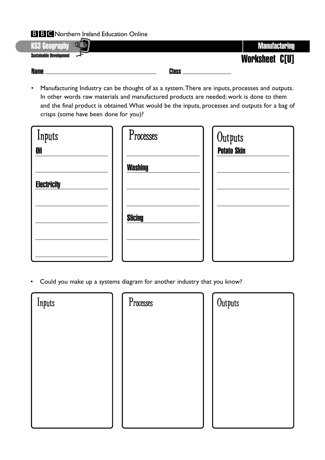

• Manufacturing Industry can be thought of as a system.There are inputs, processes and outputs. In other words raw materials and manufactured products are needed; work is done to them and the final product is obtained.What would be the inputs, processes and outputs for a bag of crisps (some have been done for you)?

| Inputs<br><b>Oil</b> | Processes      | Outputs<br><b>Potato Skin</b> |
|----------------------|----------------|-------------------------------|
| <b>Electricity</b>   | <b>Washing</b> |                               |
|                      | <b>Slicing</b> |                               |
|                      |                |                               |

• Could you make up a systems diagram for another industry that you know?

| Inputs | Processes | Outputs |
|--------|-----------|---------|
|        |           |         |
|        |           |         |
|        |           |         |
|        |           |         |
|        |           |         |
|        |           |         |

| Outputs |  |  |
|---------|--|--|
|         |  |  |
|         |  |  |
|         |  |  |
|         |  |  |
|         |  |  |
|         |  |  |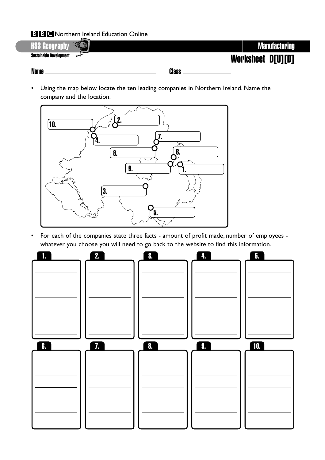

• Using the map below locate the ten leading companies in Northern Ireland. Name the company and the location.



• For each of the companies state three facts - amount of profit made, number of employees whatever you choose you will need to go back to the website to find this information.

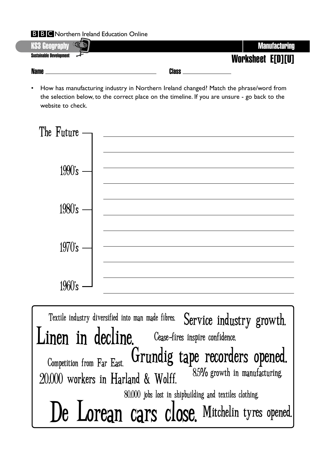

• How has manufacturing industry in Northern Ireland changed? Match the phrase/word from the selection below, to the correct place on the timeline. If you are unsure - go back to the website to check.



Service industry growth. Mitchelin tyres opened. Competition from Far East. Textile industry diversified into man made fibres. 8.5% growth in manufacturing. 80,000 jobs lost in shipbuilding and textiles clothing. De Lorean cars close. Grundig tape recorders opened. Linen in decline. Cease-fires inspire confidence. 20,000 workers in Harland & Wolff.